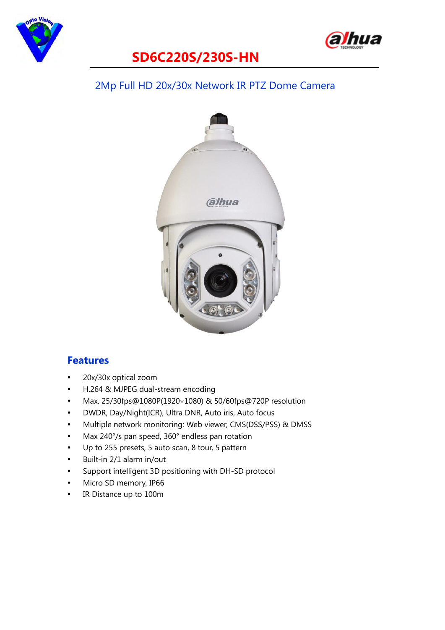



#### 2Mp Full HD 20x/30x Network IR PTZ Dome Camera



#### **Features**

- 20x/30x optical zoom
- H.264 & MJPEG dual-stream encoding
- Max. 25/30fps@1080P(1920×1080) & 50/60fps@720P resolution
- DWDR, Day/Night(ICR), Ultra DNR, Auto iris, Auto focus
- Multiple network monitoring: Web viewer, CMS(DSS/PSS) & DMSS
- Max 240°/s pan speed, 360° endless pan rotation
- Up to 255 presets, 5 auto scan, 8 tour, 5 pattern
- Built-in 2/1 alarm in/out
- Support intelligent 3D positioning with DH-SD protocol
- Micro SD memory, IP66
- IR Distance up to 100m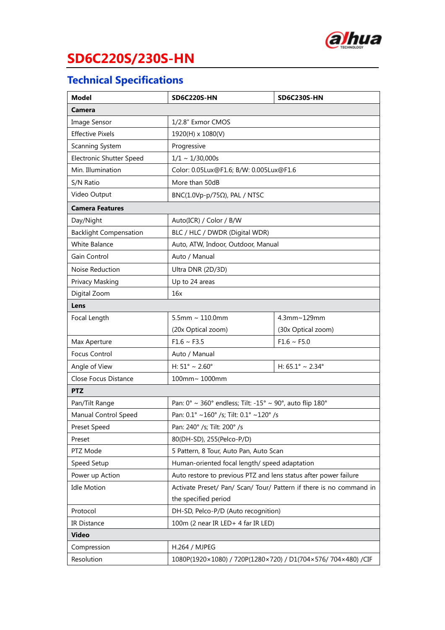

## **Technical Specifications**

| <b>Model</b>                  | <b>SD6C220S-HN</b>                                                                       | <b>SD6C230S-HN</b>                  |  |  |  |  |
|-------------------------------|------------------------------------------------------------------------------------------|-------------------------------------|--|--|--|--|
| Camera                        |                                                                                          |                                     |  |  |  |  |
| Image Sensor                  | 1/2.8" Exmor CMOS                                                                        |                                     |  |  |  |  |
| <b>Effective Pixels</b>       | 1920(H) x 1080(V)                                                                        |                                     |  |  |  |  |
| Scanning System               | Progressive                                                                              |                                     |  |  |  |  |
| Electronic Shutter Speed      | $1/1 \sim 1/30,000s$                                                                     |                                     |  |  |  |  |
| Min. Illumination             | Color: 0.05Lux@F1.6; B/W: 0.005Lux@F1.6                                                  |                                     |  |  |  |  |
| S/N Ratio                     | More than 50dB                                                                           |                                     |  |  |  |  |
| Video Output                  | BNC(1.0Vp-p/75 $\Omega$ ), PAL / NTSC                                                    |                                     |  |  |  |  |
| <b>Camera Features</b>        |                                                                                          |                                     |  |  |  |  |
| Day/Night                     | Auto(ICR) / Color / B/W                                                                  |                                     |  |  |  |  |
| <b>Backlight Compensation</b> | BLC / HLC / DWDR (Digital WDR)                                                           |                                     |  |  |  |  |
| White Balance                 | Auto, ATW, Indoor, Outdoor, Manual                                                       |                                     |  |  |  |  |
| Gain Control                  | Auto / Manual                                                                            |                                     |  |  |  |  |
| Noise Reduction               | Ultra DNR (2D/3D)                                                                        |                                     |  |  |  |  |
| Privacy Masking               | Up to 24 areas                                                                           |                                     |  |  |  |  |
| Digital Zoom                  | 16x                                                                                      |                                     |  |  |  |  |
| Lens                          |                                                                                          |                                     |  |  |  |  |
| Focal Length                  | $5.5$ mm ~ 110.0mm                                                                       | 4.3mm~129mm                         |  |  |  |  |
|                               | (20x Optical zoom)                                                                       | (30x Optical zoom)                  |  |  |  |  |
| Max Aperture                  | $F1.6 \sim F3.5$                                                                         | $F1.6 \sim F5.0$                    |  |  |  |  |
| <b>Focus Control</b>          | Auto / Manual                                                                            |                                     |  |  |  |  |
| Angle of View                 | H: $51^{\circ} \sim 2.60^{\circ}$                                                        | H: $65.1^{\circ} \sim 2.34^{\circ}$ |  |  |  |  |
| Close Focus Distance          | 100mm~ 1000mm                                                                            |                                     |  |  |  |  |
| <b>PTZ</b>                    |                                                                                          |                                     |  |  |  |  |
| Pan/Tilt Range                | Pan: $0^{\circ} \sim 360^{\circ}$ endless; Tilt: -15° $\sim 90^{\circ}$ , auto flip 180° |                                     |  |  |  |  |
| Manual Control Speed          | Pan: 0.1° ~160° /s; Tilt: 0.1° ~120° /s                                                  |                                     |  |  |  |  |
| Preset Speed                  | Pan: 240° /s; Tilt: 200° /s                                                              |                                     |  |  |  |  |
| Preset                        | 80(DH-SD), 255(Pelco-P/D)                                                                |                                     |  |  |  |  |
| PTZ Mode                      | 5 Pattern, 8 Tour, Auto Pan, Auto Scan                                                   |                                     |  |  |  |  |
| Speed Setup                   | Human-oriented focal length/ speed adaptation                                            |                                     |  |  |  |  |
| Power up Action               | Auto restore to previous PTZ and lens status after power failure                         |                                     |  |  |  |  |
| <b>Idle Motion</b>            | Activate Preset/ Pan/ Scan/ Tour/ Pattern if there is no command in                      |                                     |  |  |  |  |
|                               | the specified period                                                                     |                                     |  |  |  |  |
| Protocol                      | DH-SD, Pelco-P/D (Auto recognition)                                                      |                                     |  |  |  |  |
| IR Distance                   | 100m (2 near IR LED+ 4 far IR LED)                                                       |                                     |  |  |  |  |
| <b>Video</b>                  |                                                                                          |                                     |  |  |  |  |
| Compression                   | H.264 / MJPEG                                                                            |                                     |  |  |  |  |
| Resolution                    | 1080P(1920×1080) / 720P(1280×720) / D1(704×576/ 704×480) /CIF                            |                                     |  |  |  |  |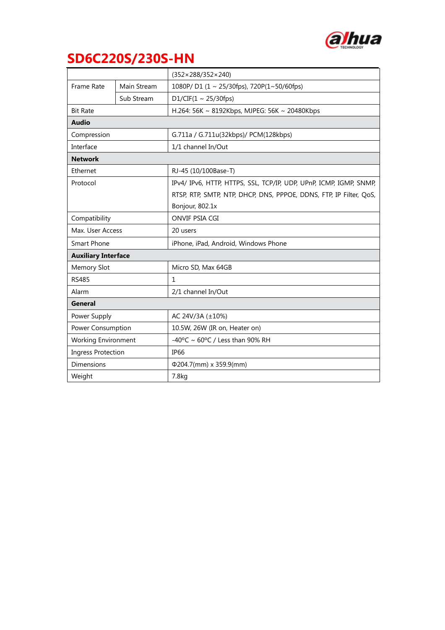

|                            |             | $(352 \times 288/352 \times 240)$                                  |  |  |
|----------------------------|-------------|--------------------------------------------------------------------|--|--|
| <b>Frame Rate</b>          | Main Stream | 1080P/D1 (1 ~ 25/30fps), 720P(1~50/60fps)                          |  |  |
|                            | Sub Stream  | D1/CIF(1 ~ 25/30fps)                                               |  |  |
| <b>Bit Rate</b>            |             | H.264: 56K ~ 8192Kbps, MJPEG: 56K ~ 20480Kbps                      |  |  |
| <b>Audio</b>               |             |                                                                    |  |  |
| Compression                |             | G.711a / G.711u(32kbps)/ PCM(128kbps)                              |  |  |
| Interface                  |             | 1/1 channel In/Out                                                 |  |  |
| <b>Network</b>             |             |                                                                    |  |  |
| Ethernet                   |             | RJ-45 (10/100Base-T)                                               |  |  |
| Protocol                   |             | IPv4/ IPv6, HTTP, HTTPS, SSL, TCP/IP, UDP, UPnP, ICMP, IGMP, SNMP, |  |  |
|                            |             | RTSP, RTP, SMTP, NTP, DHCP, DNS, PPPOE, DDNS, FTP, IP Filter, QoS, |  |  |
|                            |             | Bonjour, 802.1x                                                    |  |  |
| Compatibility              |             | ONVIF PSIA CGI                                                     |  |  |
| Max. User Access           |             | 20 users                                                           |  |  |
| <b>Smart Phone</b>         |             | iPhone, iPad, Android, Windows Phone                               |  |  |
| <b>Auxiliary Interface</b> |             |                                                                    |  |  |
| Memory Slot                |             | Micro SD, Max 64GB                                                 |  |  |
| <b>RS485</b>               |             | 1                                                                  |  |  |
| Alarm                      |             | 2/1 channel In/Out                                                 |  |  |
| <b>General</b>             |             |                                                                    |  |  |
| Power Supply               |             | AC 24V/3A $(\pm 10\%)$                                             |  |  |
| Power Consumption          |             | 10.5W, 26W (IR on, Heater on)                                      |  |  |
| <b>Working Environment</b> |             | -40°C ~ 60°C / Less than 90% RH                                    |  |  |
| <b>Ingress Protection</b>  |             | IP <sub>66</sub>                                                   |  |  |
| Dimensions                 |             | $\Phi$ 204.7(mm) x 359.9(mm)                                       |  |  |
| Weight                     |             | 7.8kg                                                              |  |  |